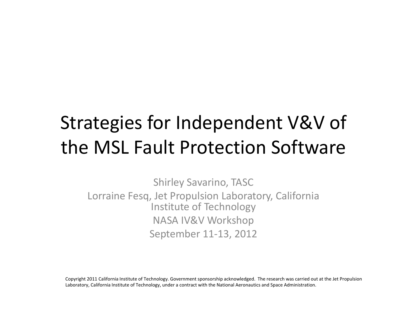# Strategies for Independent V&V of the MSL Fault Protection Software

Shirley Savarino, TASC Lorraine Fesq, Jet Propulsion Laboratory, California Institute of Technology NASA IV&V Workshop September 11‐13, 2012

Copyright 2011 California Institute of Technology. Government sponsorship acknowledged. The research was carried out at the Jet Propulsion Laboratory, California Institute of Technology, under a contract with the National Aeronautics and Space Administration.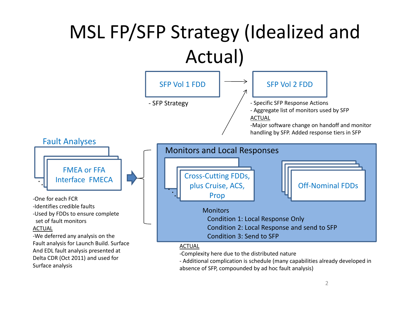#### MSL FP/SFP Strategy (Idealized and Actual) FMEA or FFA Interface FMECA ‐One for each FCR ‐Identifies credible faults ‐Used by FDDs to ensure complete set of fault monitors ACTUAL ‐We deferred any analysis on the Fault analysis for Launch Build. Surface And EDL fault analysis presented at Delta CDR (Oct 2011) and used for Cross‐Cutting FDDs,  $\frac{1}{2}$  plus Cruise, ACS,  $\frac{1}{2}$  Off-Nominal FDDs Prop . SFP Vol 2 FDD ‐ Specific SFP Response Actions ‐ Aggregate list of monitors used by SFP ACTUAL ‐Major software change on handoff and monitor handling by SFP. Added response tiers in SFP SFP Vol 1 FDD ‐ SFP Strategy Fault Analyses **Monitors** Condition 1: Local Response Only Condition 2: Local Response and send to SFP Condition 3: Send to SFP Monitors and Local Responses ACTUAL ‐Complexity here due to the distributed nature

Surface analysis

..

‐ Additional complication is schedule (many capabilities already developed in absence of SFP, compounded by ad hoc fault analysis)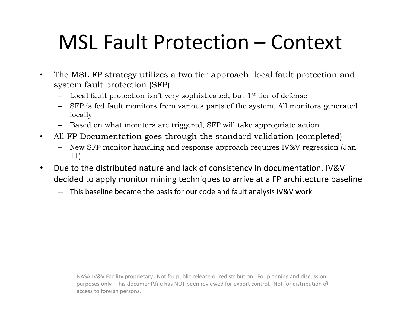# MSL Fault Protection – Context

- The MSL FP strategy utilizes a two tier approach: local fault protection and system fault protection (SFP)
	- $-$  Local fault protection isn't very sophisticated, but  $1<sup>st</sup>$  tier of defense
	- SFP is fed fault monitors from various parts of the system. All monitors generated locally
	- Based on what monitors are triggered, SFP will take appropriate action
- All FP Documentation goes through the standard validation (completed)
	- New SFP monitor handling and response approach requires IV&V regression (Jan 11)
- Due to the distributed nature and lack of consistency in documentation, IV&V decided to apply monitor mining techniques to arrive at a FP architecture baseline
	- This baseline became the basis for our code and fault analysis IV&V work

purposes only. This document\file has NOT been reviewed for export control. Not for distribution or NASA IV&V Facility proprietary. Not for public release or redistribution. For planning and discussion access to foreign persons.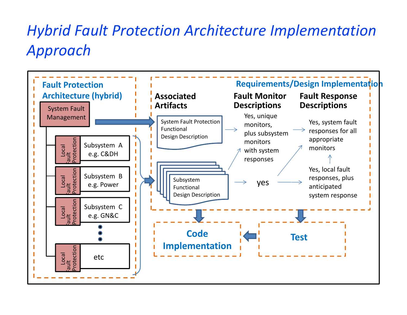## *Hybrid Fault Protection Architecture Implementation Approach*

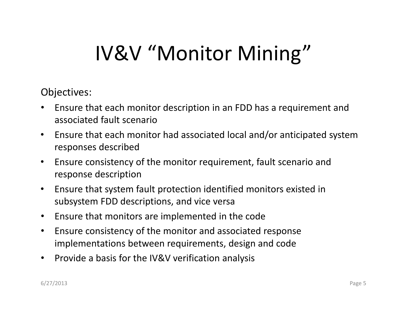# IV&V "Monitor Mining"

Objectives:

- Ensure that each monitor description in an FDD has a requirement and associated fault scenario
- Ensure that each monitor had associated local and/or anticipated system responses described
- Ensure consistency of the monitor requirement, fault scenario and response description
- Ensure that system fault protection identified monitors existed in subsystem FDD descriptions, and vice versa
- Ensure that monitors are implemented in the code
- Ensure consistency of the monitor and associated response implementations between requirements, design and code
- Provide a basis for the IV&V verification analysis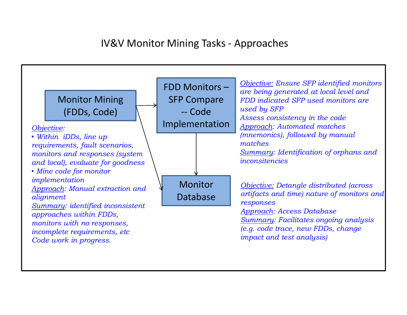#### IV&V Monitor Mining Tasks ‐ Approaches

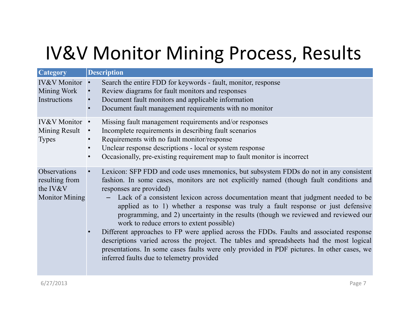## IV&V Monitor Mining Process, Results

| <b>Category</b>                                                     | <b>Description</b>                                                                                                                                                                                                                                                                                                                                                                                                                                                                                                                                                                                                                                                                                                                                                                                                                                         |
|---------------------------------------------------------------------|------------------------------------------------------------------------------------------------------------------------------------------------------------------------------------------------------------------------------------------------------------------------------------------------------------------------------------------------------------------------------------------------------------------------------------------------------------------------------------------------------------------------------------------------------------------------------------------------------------------------------------------------------------------------------------------------------------------------------------------------------------------------------------------------------------------------------------------------------------|
| <b>IV&amp;V</b> Monitor<br>Mining Work<br>Instructions              | Search the entire FDD for keywords - fault, monitor, response<br>Review diagrams for fault monitors and responses<br>Document fault monitors and applicable information<br>Document fault management requirements with no monitor                                                                                                                                                                                                                                                                                                                                                                                                                                                                                                                                                                                                                          |
| IV&V Monitor •<br>Mining Result<br><b>Types</b>                     | Missing fault management requirements and/or responses<br>Incomplete requirements in describing fault scenarios<br>$\bullet$<br>Requirements with no fault monitor/response<br>$\bullet$<br>Unclear response descriptions - local or system response<br>$\bullet$<br>Occasionally, pre-existing requirement map to fault monitor is incorrect<br>$\bullet$                                                                                                                                                                                                                                                                                                                                                                                                                                                                                                 |
| Observations<br>resulting from<br>the IV&V<br><b>Monitor Mining</b> | Lexicon: SFP FDD and code uses mnemonics, but subsystem FDDs do not in any consistent<br>fashion. In some cases, monitors are not explicitly named (though fault conditions and<br>responses are provided)<br>Lack of a consistent lexicon across documentation meant that judgment needed to be<br>applied as to 1) whether a response was truly a fault response or just defensive<br>programming, and 2) uncertainty in the results (though we reviewed and reviewed our<br>work to reduce errors to extent possible)<br>Different approaches to FP were applied across the FDDs. Faults and associated response<br>descriptions varied across the project. The tables and spreadsheets had the most logical<br>presentations. In some cases faults were only provided in PDF pictures. In other cases, we<br>inferred faults due to telemetry provided |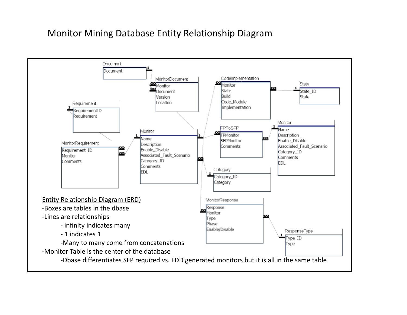#### Monitor Mining Database Entity Relationship Diagram

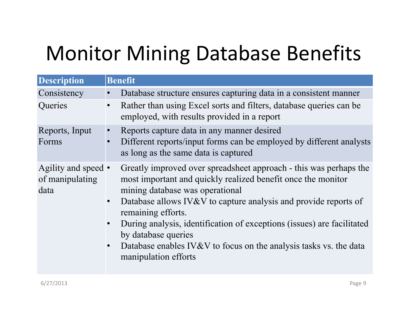# Monitor Mining Database Benefits

| <b>Description</b>                             | <b>Benefit</b>                                                                                                                                                                                                                                                                                                                                                                                                                                                                                     |
|------------------------------------------------|----------------------------------------------------------------------------------------------------------------------------------------------------------------------------------------------------------------------------------------------------------------------------------------------------------------------------------------------------------------------------------------------------------------------------------------------------------------------------------------------------|
| Consistency                                    | Database structure ensures capturing data in a consistent manner                                                                                                                                                                                                                                                                                                                                                                                                                                   |
| Queries                                        | Rather than using Excel sorts and filters, database queries can be<br>$\bullet$<br>employed, with results provided in a report                                                                                                                                                                                                                                                                                                                                                                     |
| Reports, Input<br>Forms                        | Reports capture data in any manner desired<br>$\bullet$<br>Different reports/input forms can be employed by different analysts<br>$\bullet$<br>as long as the same data is captured                                                                                                                                                                                                                                                                                                                |
| Agility and speed •<br>of manipulating<br>data | Greatly improved over spreadsheet approach - this was perhaps the<br>most important and quickly realized benefit once the monitor<br>mining database was operational<br>Database allows IV&V to capture analysis and provide reports of<br>$\bullet$<br>remaining efforts.<br>During analysis, identification of exceptions (issues) are facilitated<br>$\bullet$<br>by database queries<br>Database enables IV&V to focus on the analysis tasks vs. the data<br>$\bullet$<br>manipulation efforts |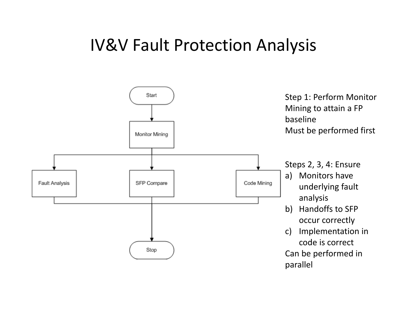### IV&V Fault Protection Analysis

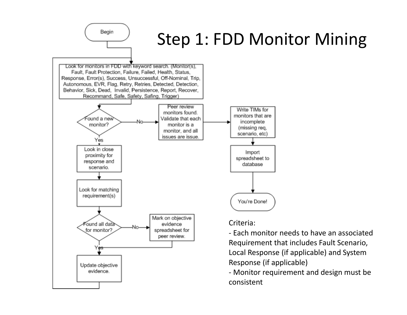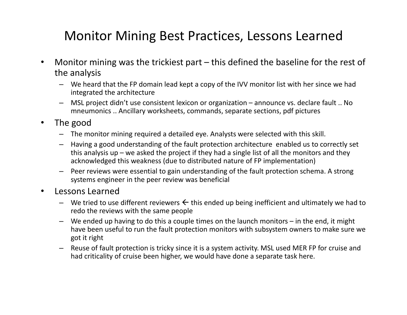### Monitor Mining Best Practices, Lessons Learned

- Monitor mining was the trickiest part this defined the baseline for the rest of the analysis
	- We heard that the FP domain lead kept a copy of the IVV monitor list with her since we had integrated the architecture
	- MSL project didn't use consistent lexicon or organization announce vs. declare fault .. No mneumonics .. Ancillary worksheets, commands, separate sections, pdf pictures
- The good
	- The monitor mining required a detailed eye. Analysts were selected with this skill.
	- Having a good understanding of the fault protection architecture enabled us to correctly set this analysis up – we asked the project if they had a single list of all the monitors and they acknowledged this weakness (due to distributed nature of FP implementation)
	- Peer reviews were essential to gain understanding of the fault protection schema. A strong systems engineer in the peer review was beneficial
- Lessons Learned
	- We tried to use different reviewers  $\leftarrow$  this ended up being inefficient and ultimately we had to redo the reviews with the same people
	- We ended up having to do this a couple times on the launch monitors in the end, it might have been useful to run the fault protection monitors with subsystem owners to make sure we got it right
	- Reuse of fault protection is tricky since it is a system activity. MSL used MER FP for cruise and had criticality of cruise been higher, we would have done a separate task here.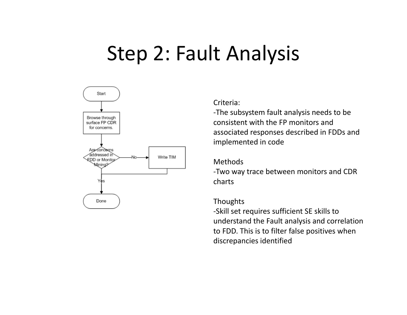## Step 2: Fault Analysis



#### Criteria:

‐The subsystem fault analysis needs to be consistent with the FP monitors and associated responses described in FDDs and implemented in code

#### Methods

‐Two way trace between monitors and CDR charts

#### **Thoughts**

‐Skill set requires sufficient SE skills to understand the Fault analysis and correlation to FDD. This is to filter false positives when discrepancies identified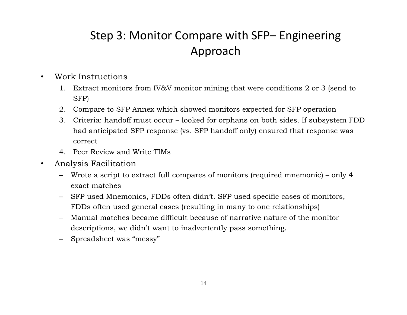### Step 3: Monitor Compare with SFP– Engineering Approach

- Work Instructions
	- 1. Extract monitors from IV&V monitor mining that were conditions 2 or 3 (send to SFP)
	- 2. Compare to SFP Annex which showed monitors expected for SFP operation
	- 3. Criteria: handoff must occur looked for orphans on both sides. If subsystem FDD had anticipated SFP response (vs. SFP handoff only) ensured that response was correct
	- 4. Peer Review and Write TIMs
- Analysis Facilitation
	- Wrote a script to extract full compares of monitors (required mnemonic) only 4 exact matches
	- SFP used Mnemonics, FDDs often didn't. SFP used specific cases of monitors, FDDs often used general cases (resulting in many to one relationships)
	- Manual matches became difficult because of narrative nature of the monitor descriptions, we didn't want to inadvertently pass something.
	- Spreadsheet was "messy"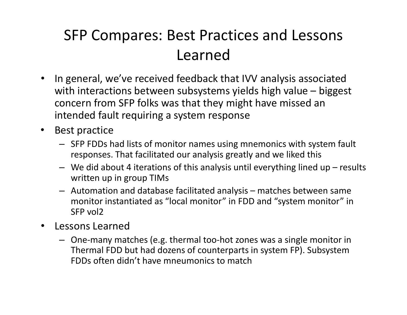## SFP Compares: Best Practices and Lessons Learned

- In general, we've received feedback that IVV analysis associated with interactions between subsystems yields high value – biggest concern from SFP folks was that they might have missed an intended fault requiring a system response
- Best practice
	- SFP FDDs had lists of monitor names using mnemonics with system fault responses. That facilitated our analysis greatly and we liked this
	- $-$  We did about 4 iterations of this analysis until everything lined up  $-$  results written up in group TIMs
	- Automation and database facilitated analysis matches between same monitor instantiated as "local monitor" in FDD and "system monitor" in SFP vol2
- Lessons Learned
	- One‐many matches (e.g. thermal too‐hot zones was a single monitor in Thermal FDD but had dozens of counterparts in system FP). Subsystem FDDs often didn't have mneumonics to match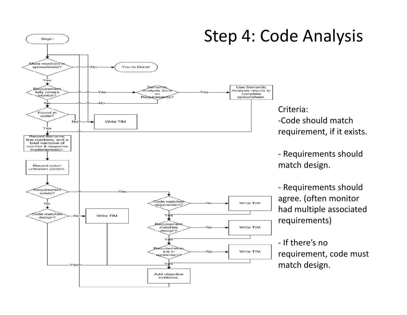#### Begin fore monitors in You're Done! spreadsheet? Yes Semamik Use Semantic equiremen malysis done Analysis results to fully covers complete on monitor? Requirements? spreadsheet. No Found in code? Write TIM No Yės Record filename. line numbers, and a brief narrative of monitor & response implementation. Record color/ unknown pattern. equiremen Vac exists? Code matches Write TIM Νo Nin requirement? ode matche Write TIM design? equiremen Write TIM matches design? YÆ3 quirements Write TIM are in ]reement2 'es Add objective evidence.

## Step 4: Code Analysis

Criteria: ‐Code should match requirement, if it exists.

‐ Requirements should match design.

‐ Requirements should agree. (often monitor had multiple associated requirements)

‐ If there's no requirement, code must match design.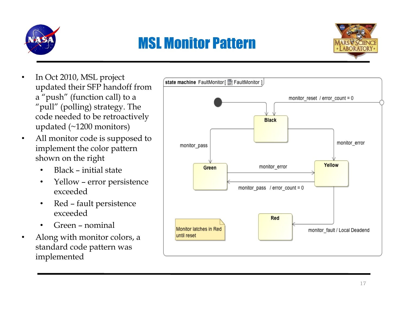

## MSL Monitor Pattern



- In Oct 2010, MSL project updated their SFP handoff from a "push" (function call) to a "pull" (polling) strategy. The code needed to be retroactively updated (~1200 monitors)
- All monitor code is supposed to implement the color pattern shown on the right
	- Black initial state
	- Yellow error persistence exceeded
	- Red fault persistence exceeded
	- Green nominal
- Along with monitor colors, a standard code pattern was implemented

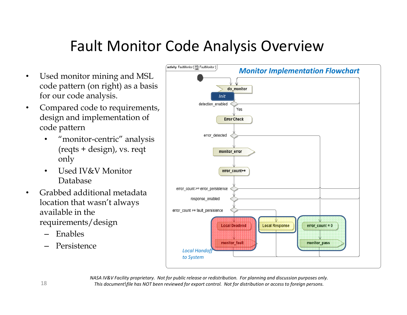### Fault Monitor Code Analysis Overview

- Used monitor mining and MSL code pattern (on right) as a basis for our code analysis.
- Compared code to requirements, design and implementation of code pattern
	- "monitor-centric" analysis (reqts + design), vs. reqt only
	- Used IV&V Monitor Database
- Grabbed additional metadata location that wasn't always available in the requirements/design
	- Enables
	- Persistence



NASA IV&V Facility proprietary. Not for public release or redistribution. For planning and discussion purposes only. This document\file has NOT been reviewed for export control. Not for distribution or access to foreign persons.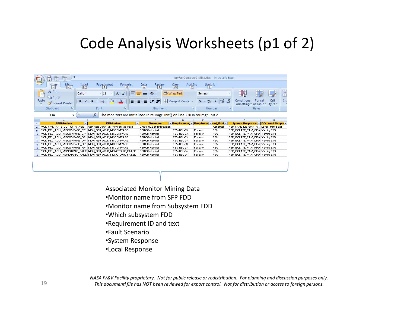### Code Analysis Worksheets (p1 of 2)

|                  | E<br>Paste | <b>I</b> is<br>Home<br>H<br>& Cut<br><b>国語 Copy</b><br>Clipboard | Menu<br>N <sub>1</sub><br>Format Painter | Insert<br>N <sub>2</sub><br>Calibri<br>$\mathbf{B}$<br>$\boldsymbol{I}$<br>ы | U<br>Font | gryFullCompare2-Mike.xlsx - Microsoft Excel<br>Add-Ins<br>Livelink<br>PageLayout<br>Formulas<br>Review<br>$\frac{\text{Data}}{\text{A}}$<br>View<br>W<br>M<br>X<br>R<br>P<br>$\equiv$<br>Wrap Text<br>$\mathcal{P}_{\mathcal{F}}$<br>$-11$<br>General<br>$\equiv$<br>$\mathbf{A}$<br>A<br>$=$<br>$3.4 \t 3.0 \t 3.0$<br>Merge & Center<br>圖<br>植植<br>膏<br>罩<br><sup>S</sup><br>$\frac{1}{\sqrt{2}}$<br>Ħ<br>$\mathbf{A}$<br>T.<br>ы<br>Alignment<br>Number |                                                                            |       |                            |                 |  |            |  | Б.       | Conditional<br>Formatting * as Table * Styles * | Format<br>Styles | Cell                                    | Ins |  |  |
|------------------|------------|------------------------------------------------------------------|------------------------------------------|------------------------------------------------------------------------------|-----------|------------------------------------------------------------------------------------------------------------------------------------------------------------------------------------------------------------------------------------------------------------------------------------------------------------------------------------------------------------------------------------------------------------------------------------------------------------|----------------------------------------------------------------------------|-------|----------------------------|-----------------|--|------------|--|----------|-------------------------------------------------|------------------|-----------------------------------------|-----|--|--|
|                  |            | 134                                                              |                                          | $\overline{\phantom{a}}$                                                     | fx        |                                                                                                                                                                                                                                                                                                                                                                                                                                                            | The monitors are initialized in reumgr init() on line 220 in reumgr init.c |       |                            |                 |  |            |  |          |                                                 |                  |                                         |     |  |  |
|                  |            |                                                                  |                                          |                                                                              |           |                                                                                                                                                                                                                                                                                                                                                                                                                                                            | B                                                                          |       |                            | c.              |  | D.         |  |          |                                                 |                  | G.                                      |     |  |  |
|                  |            |                                                                  | <b>SFPMonitor</b>                        | $\blacksquare$                                                               |           |                                                                                                                                                                                                                                                                                                                                                                                                                                                            | <b>FPMonitor</b>                                                           | $\pi$ |                            | <b>Document</b> |  |            |  |          | * Requirement * Requireme * ted Faul *          |                  | System Response = FDD Local Respo =     |     |  |  |
| 6                |            | MON_SPIN_RATE_OUT_OF_RANGE                                       |                                          |                                                                              |           |                                                                                                                                                                                                                                                                                                                                                                                                                                                            | Spin Rate Constraint Monitor (acs local)                                   |       | Cruise, ACS and Propulsion |                 |  |            |  |          | Abnormal                                        |                  | RSP_SAFE_DIS_SPIN_RA Local: (immediate) |     |  |  |
|                  |            | MON_REU_ACLK_MISCOMPARE_CP                                       |                                          |                                                                              |           |                                                                                                                                                                                                                                                                                                                                                                                                                                                            | MON_REU_ACLK_MISCOMPARE                                                    |       | REU Off-Nominal            |                 |  | FSW-REU-33 |  | For each | <b>FSW</b>                                      |                  | RSP_ISOLATE_PAM_CPA_Warning EVR         |     |  |  |
| 10 <sub>10</sub> |            | MON_REU_ACLK_MISCOMPARE_CP                                       |                                          |                                                                              |           |                                                                                                                                                                                                                                                                                                                                                                                                                                                            | MON REU ACLK MISCOMPARE                                                    |       | <b>REU Off-Nominal</b>     |                 |  | FSW-REU-33 |  | For each | <b>FSW</b>                                      |                  | RSP ISOLATE PAM CPA Warning EVR         |     |  |  |
|                  |            |                                                                  |                                          | MON_REU_ACLK_MISCOMPARE_DP                                                   |           |                                                                                                                                                                                                                                                                                                                                                                                                                                                            | MON_REU_ACLK_MISCOMPARE                                                    |       | <b>REU Off-Nominal</b>     |                 |  | FSW-REU-33 |  | For each | <b>FSW</b>                                      |                  | RSP_ISOLATE_PAM_DPA_Warning EVR         |     |  |  |
| 12 <sup>°</sup>  |            |                                                                  |                                          | MON_REU_ACLK_MISCOMPARE_DP                                                   |           |                                                                                                                                                                                                                                                                                                                                                                                                                                                            | MON REU ACLK MISCOMPARE.                                                   |       | REU Off-Nominal            |                 |  | FSW-REU-33 |  | For each | <b>FSW</b>                                      |                  | RSP ISOLATE PAM DPA Warning EVR         |     |  |  |
| 13 <sup>°</sup>  |            | MON_REU_ACLK_MISCOMPARE_RP                                       |                                          |                                                                              |           |                                                                                                                                                                                                                                                                                                                                                                                                                                                            | MON_REU_ACLK_MISCOMPARE                                                    |       | REU Off-Nominal            |                 |  | FSW-REU-33 |  | For each | <b>FSV</b>                                      |                  | RSP_ISOLATE_PAM_RPA_Warning EVR         |     |  |  |
| 14               |            |                                                                  |                                          | MON REU ACLK MISCOMPARE RP.                                                  |           |                                                                                                                                                                                                                                                                                                                                                                                                                                                            | MON REU ACLK MISCOMPARE                                                    |       | REU Off-Nominal            |                 |  | FSW-REU-33 |  | For each | <b>FSW</b>                                      |                  | RSP_ISOLATE_PAM_RPA_Warning EVR         |     |  |  |
| 15               |            |                                                                  |                                          |                                                                              |           |                                                                                                                                                                                                                                                                                                                                                                                                                                                            | MON_REU_ACLK_MONOTONIC_FAILE   MON_REU_ACLK_MONOTONIC_FAILED               |       | <b>REU Off-Nominal</b>     |                 |  | FSW-REU-34 |  | For each | <b>FSV</b>                                      |                  | RSP_ISOLATE_PAM_CPA_Warning EVR         |     |  |  |
| 16               |            |                                                                  |                                          |                                                                              |           |                                                                                                                                                                                                                                                                                                                                                                                                                                                            | MON_REU_ACLK_MONOTONIC_FAILE   MON_REU_ACLK_MONOTONIC_FAILED               |       | REU Off-Nominal            |                 |  | FSW-REU-34 |  | For each | <b>FSW</b>                                      |                  | RSP_ISOLATE_PAM_CPA_Warning EVR         |     |  |  |
|                  |            |                                                                  |                                          |                                                                              |           |                                                                                                                                                                                                                                                                                                                                                                                                                                                            |                                                                            |       |                            |                 |  |            |  |          |                                                 |                  |                                         |     |  |  |

- Associated Monitor Mining Data
- •Monitor name from SFP FDD
- •Monitor name from Subsystem FDD
- •Which subsystem FDD
- •Requirement ID and text
- •Fault Scenario
- •System Response
- •Local Response

NASA IV&V Facility proprietary. Not for public release or redistribution. For planning and discussion purposes only. This document\file has NOT been reviewed for export control. Not for distribution or access to foreign persons.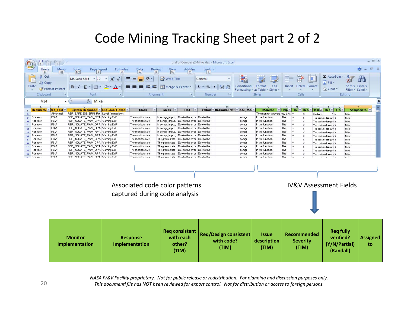### Code Mining Tracking Sheet part 2 of 2



NASA IV&V Facility proprietary. Not for public release or redistribution. For planning and discussion purposes only. This document\file has NOT been reviewed for export control. Not for distribution or access to foreign persons.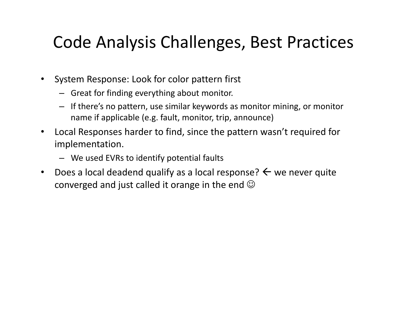## Code Analysis Challenges, Best Practices

- System Response: Look for color pattern first
	- Great for finding everything about monitor.
	- If there's no pattern, use similar keywords as monitor mining, or monitor name if applicable (e.g. fault, monitor, trip, announce)
- Local Responses harder to find, since the pattern wasn't required for implementation.
	- We used EVRs to identify potential faults
- Does a local deadend qualify as a local response?  $\leftarrow$  we never quite converged and just called it orange in the end  $\odot$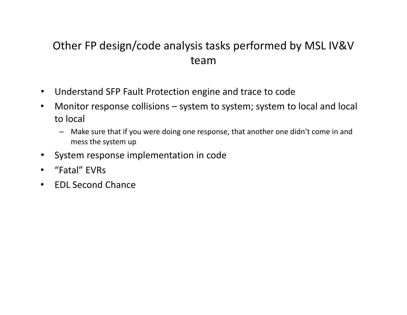### Other FP design/code analysis tasks performed by MSL IV&V team

- Understand SFP Fault Protection engine and trace to code
- Monitor response collisions system to system; system to local and local to local
	- Make sure that if you were doing one response, that another one didn't come in and mess the system up
- System response implementation in code
- "Fatal" EVRs
- EDL Second Chance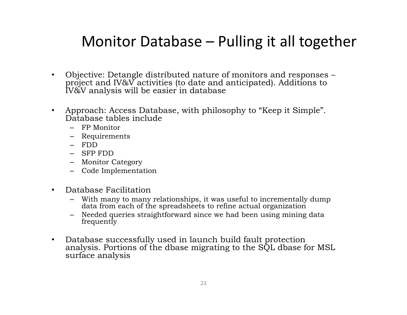### Monitor Database – Pulling it all together

- Objective: Detangle distributed nature of monitors and responses project and IV&V activities (to date and anticipated). Additions to IV&V analysis will be easier in database
- Approach: Access Database, with philosophy to "Keep it Simple". Database tables include
	- FP Monitor
	- Requirements
	- FDD
	- SFP FDD
	- Monitor Category
	- Code Implementation
- Database Facilitation
	- With many to many relationships, it was useful to incrementally dump data from each of the spreadsheets to refine actual organization
	- Needed queries straightforward since we had been using mining data frequently
- Database successfully used in launch build fault protection analysis. Portions of the dbase migrating to the SQL dbase for MSL surface analysis